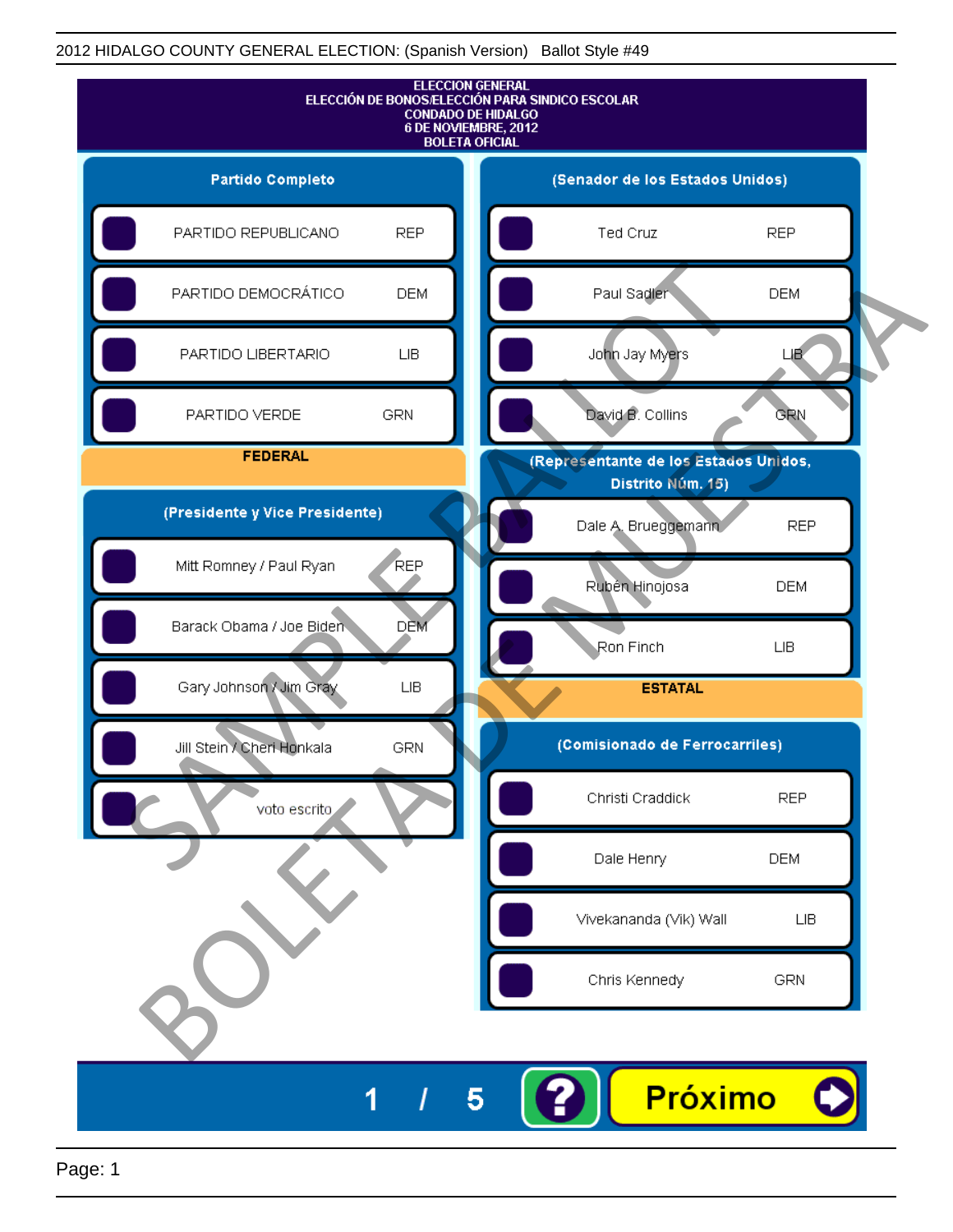

Page: 1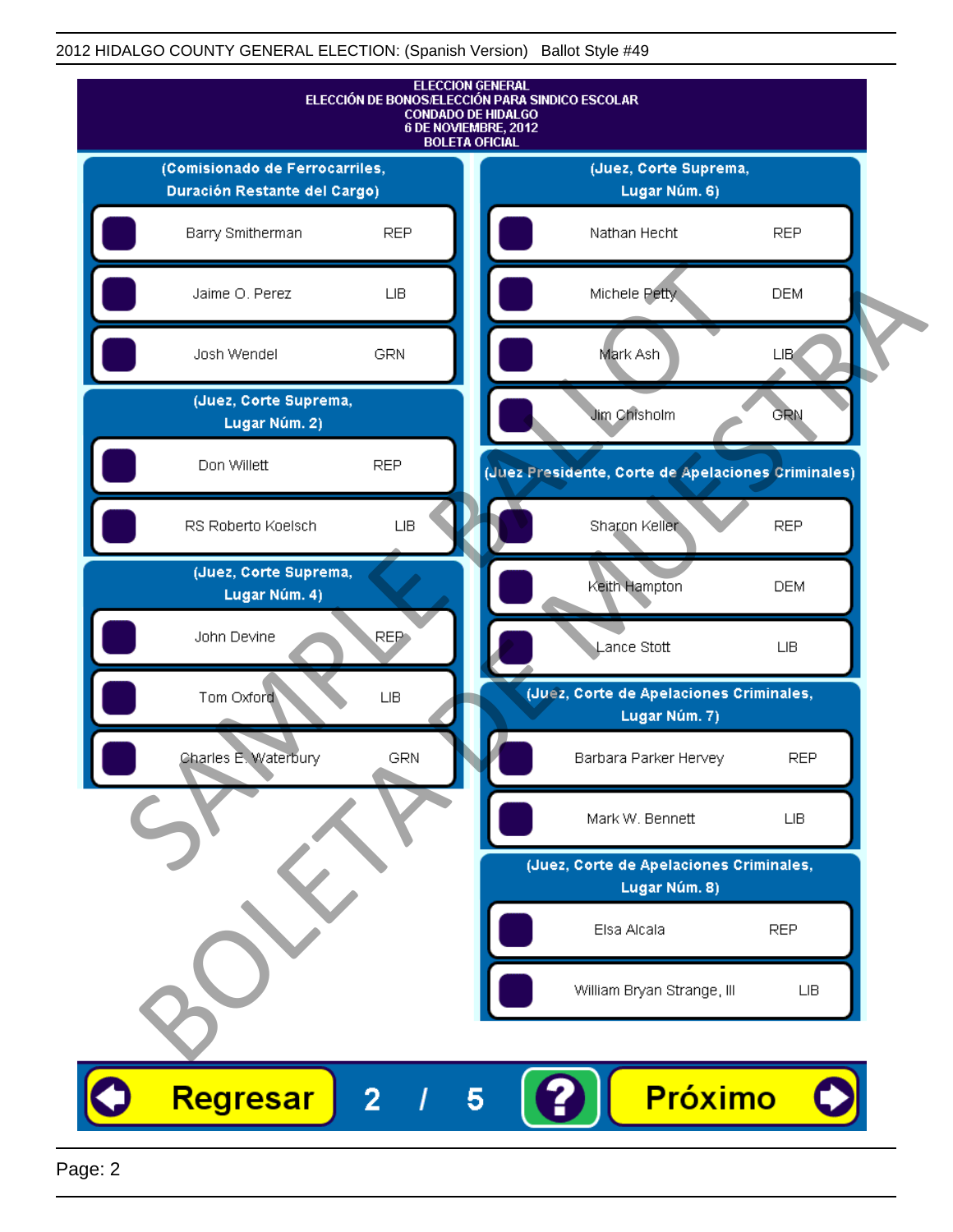

Page: 2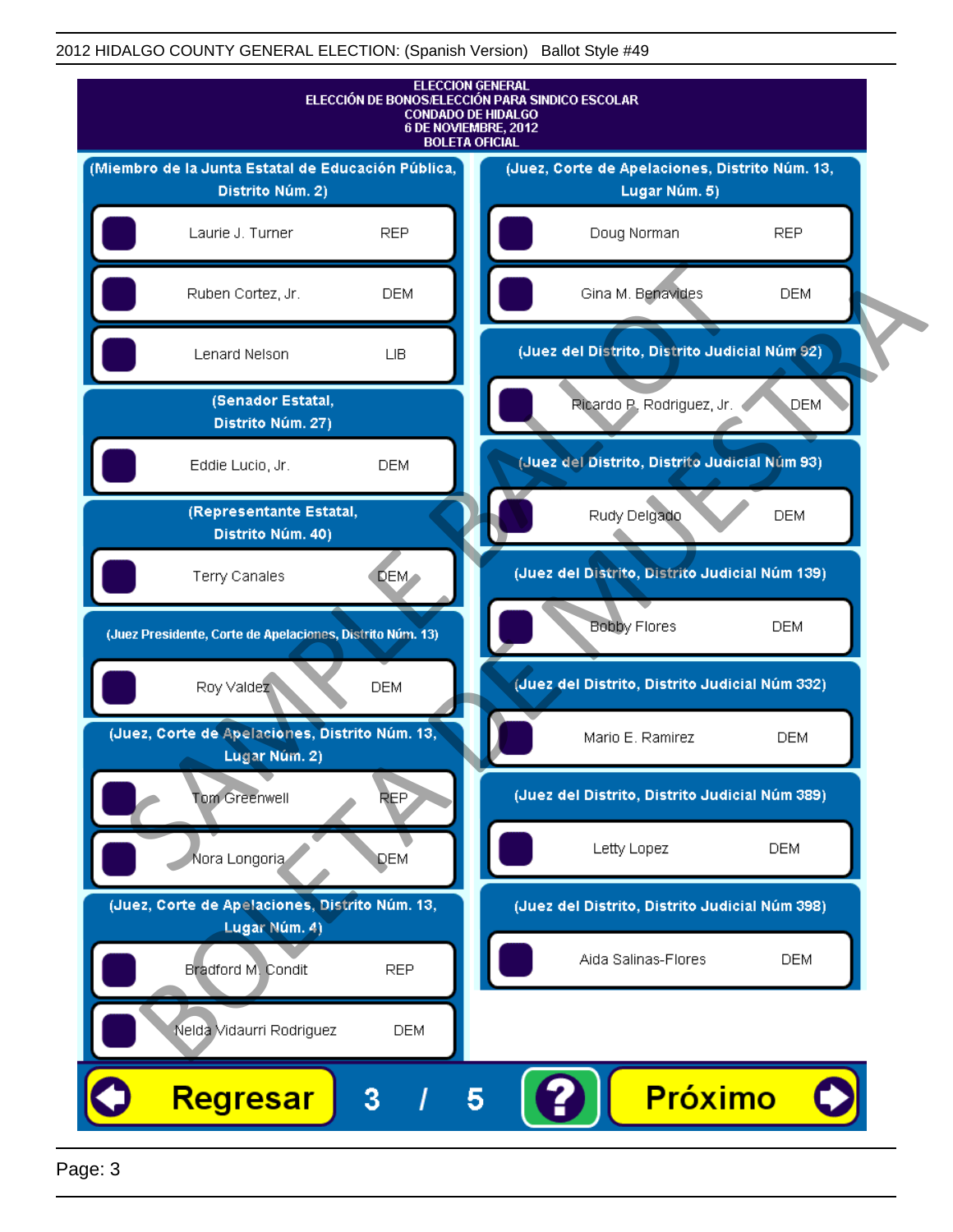

Page: 3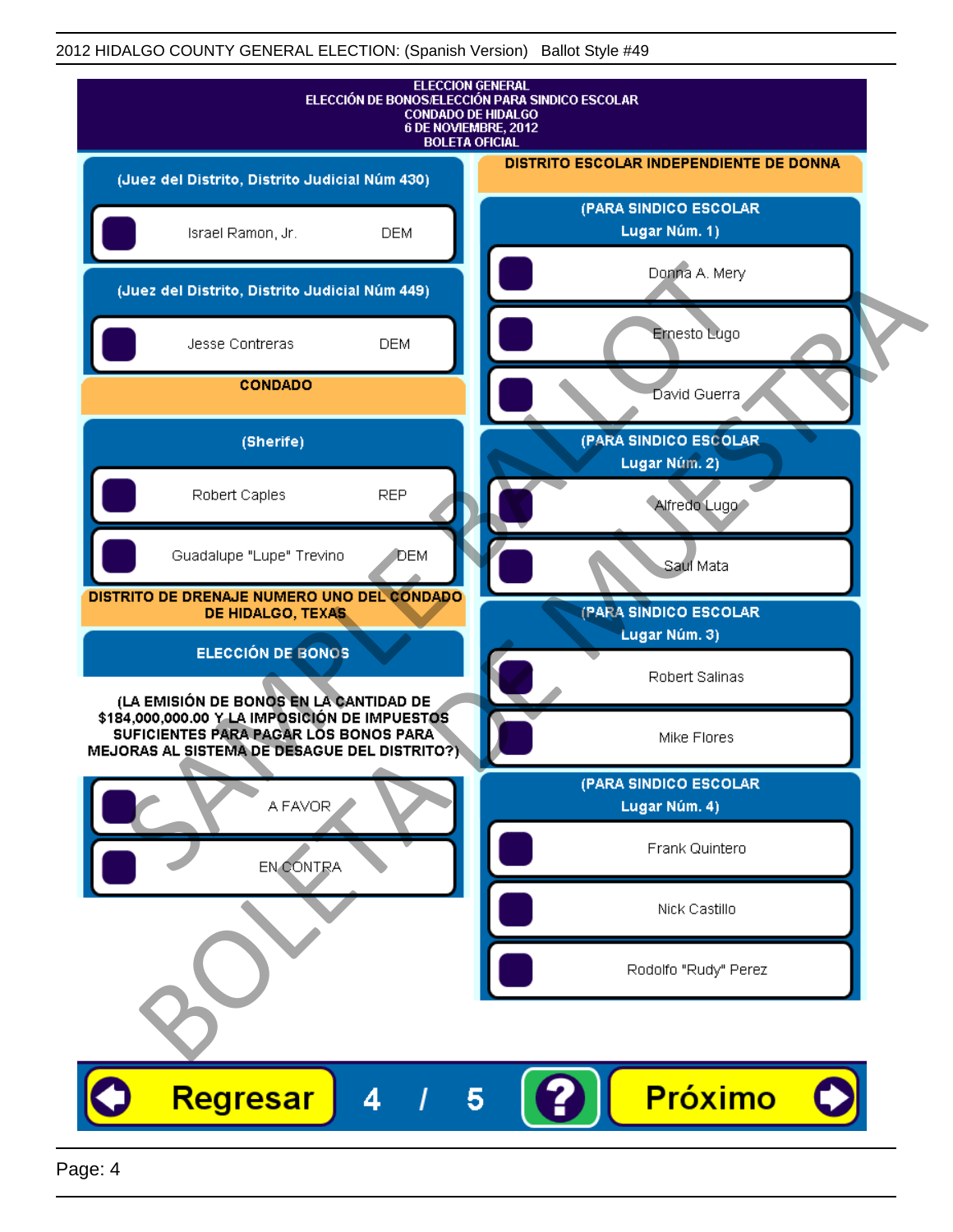| <b>ELECCION GENERAL</b><br>ELECCIÓN DE BONOS/ELECCIÓN PARA SINDICO ESCOLAR<br><b>CONDADO DE HIDALGO</b><br>6 DE NOVIEMBRE, 2012<br><b>BOLETA OFICIAL</b>                         |                                         |
|----------------------------------------------------------------------------------------------------------------------------------------------------------------------------------|-----------------------------------------|
| (Juez del Distrito, Distrito Judicial Núm 430)                                                                                                                                   | DISTRITO ESCOLAR INDEPENDIENTE DE DONNA |
| Israel Ramon, Jr.<br><b>DEM</b>                                                                                                                                                  | (PARA SINDICO ESCOLAR<br>Lugar Núm. 1)  |
| (Juez del Distrito, Distrito Judicial Núm 449)                                                                                                                                   | Donna A. Mery                           |
| Jesse Contreras<br><b>DEM</b>                                                                                                                                                    | Ernesto Lugo                            |
| <b>CONDADO</b>                                                                                                                                                                   | David Guerra                            |
| (Sherife)                                                                                                                                                                        | (PARA SINDICO ESCOLAR<br>Lugar Núm. 2)  |
| Robert Caples<br><b>REP</b>                                                                                                                                                      | Alfredo Lugo                            |
| Guadalupe "Lupe" Trevino<br>DEM                                                                                                                                                  | Saul Mata                               |
| DISTRITO DE DRENAJE NUMERO UNO DEL CONDADO<br>DE HIDALGO, TEXAS                                                                                                                  | (PARA SINDICO ESCOLAR<br>Lugar Núm. 3)  |
| <b>ELECCIÓN DE BONOS</b>                                                                                                                                                         | Robert Salinas                          |
| (LA EMISIÓN DE BONOS EN LA CANTIDAD DE<br>\$184,000,000.00 Y LA IMPOSICIÓN DE IMPUESTOS<br>SUFICIENTES PARA PAGAR LOS BONOS PARA<br>MEJORAS AL SISTEMA DE DESAGUE DEL DISTRITO?) | Mike Flores                             |
| A FAVOR                                                                                                                                                                          | (PARA SINDICO ESCOLAR<br>Lugar Núm. 4)  |
| <b>EN CONTRA</b>                                                                                                                                                                 | Frank Quintero                          |
|                                                                                                                                                                                  | Nick Castillo                           |
|                                                                                                                                                                                  | Rodolfo "Rudy" Perez                    |
| Regresar<br>4<br>5                                                                                                                                                               | Próximo                                 |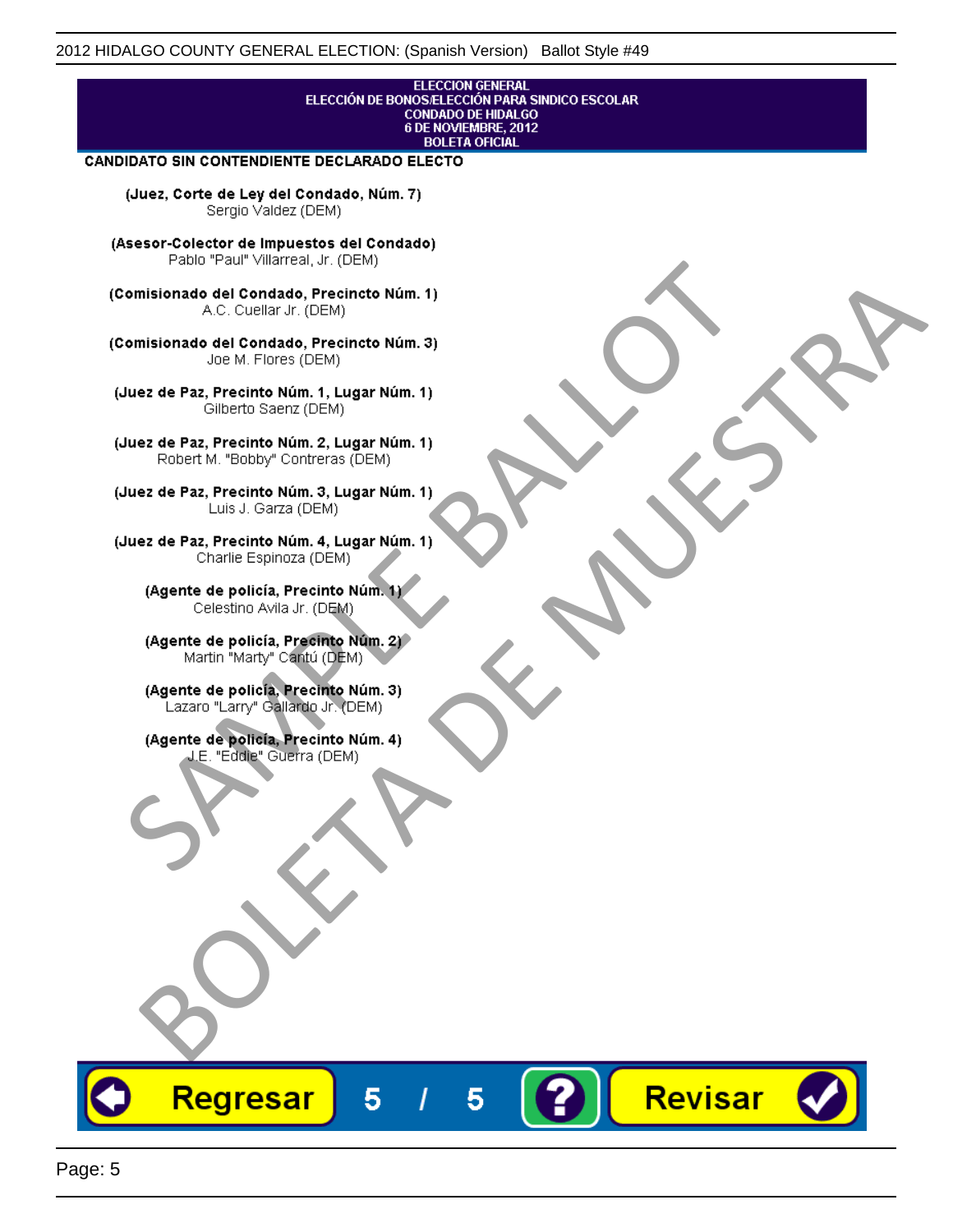## **ELECCION GENERAL** ELECCIÓN DE BONOS/ELECCIÓN PARA SINDICO ESCOLAR<br>CONDADO DE HIDALGO<br>6 DE NOVIEMBRE, 2012 **BOLETA OFICIAL**

Revisar

### CANDIDATO SIN CONTENDIENTE DECLARADO ELECTO

(Juez, Corte de Ley del Condado, Núm. 7) Sergio Valdez (DEM)

(Asesor-Colector de Impuestos del Condado)

Fallo Fall Willdrea, J.I. (DEM)<br>
Consistionado el Condado, Precincto Núm. 1)<br>
A.C. Cuellar Jr. (DEM)<br>
Ullez de Paz, Precinto Núm. 1)<br>
Juez de Paz, Precinto Núm. 1, Lugar Núm. 1)<br>
Gilberto Sentr (DEM)<br>
Robert M. "Bobby" Con misionado del Condiado, Precincto Núm. 1)<br>
Andro del Condiado, Precincto Núm. 3)<br>
ez de Paz, Precinto Núm. 21<br>
algo M. Picer Lo Saerz, (CIEM)<br>
algo M. Picer Lo Saerz, (CIEM)<br>
algo M. Picer Lo Saerz, (CIEM)<br>
ez de Paz, Prec

Regresar

5

5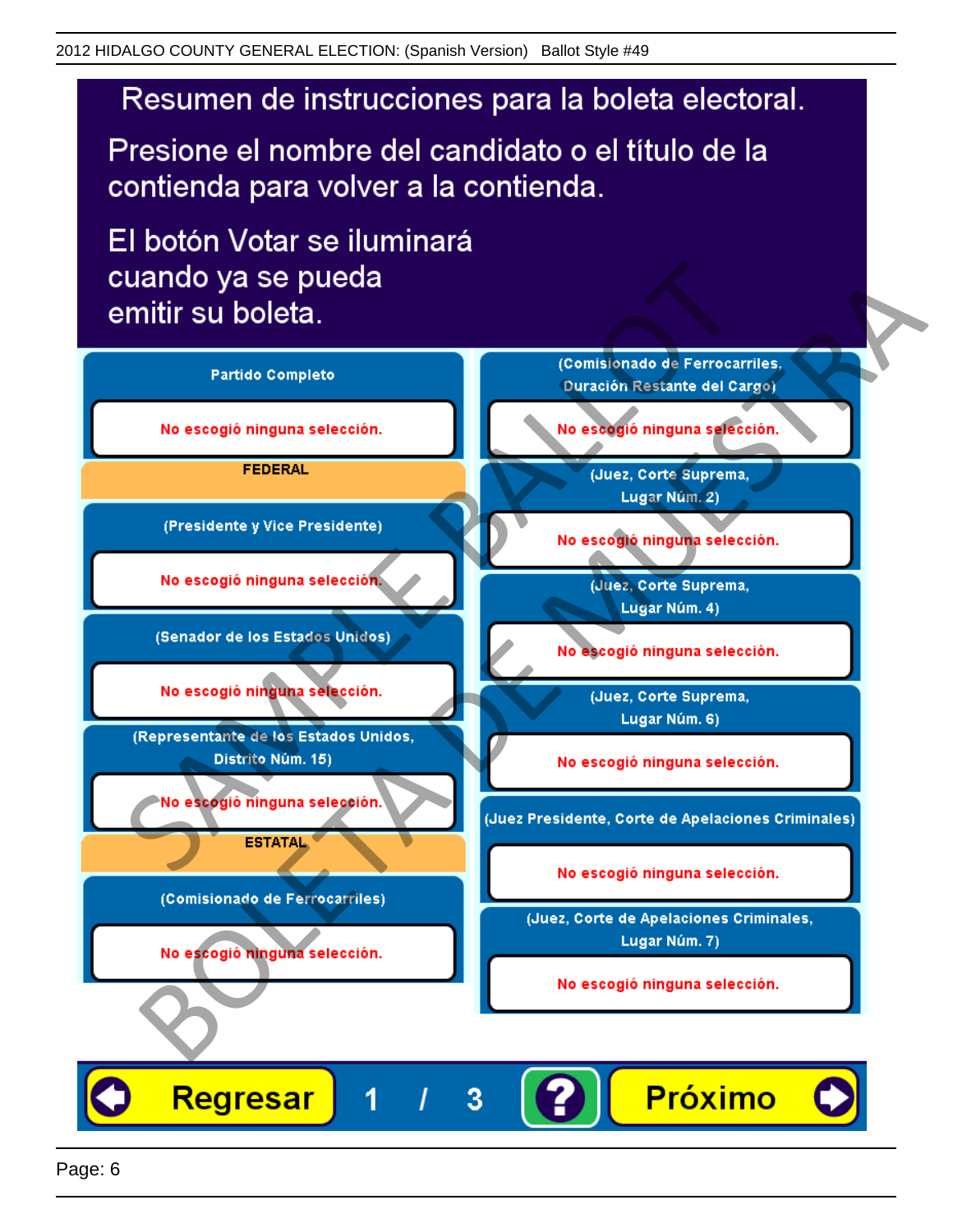# Resumen de instrucciones para la boleta electoral.

Presione el nombre del candidato o el título de la contienda para volver a la contienda.

El botón Votar se iluminará

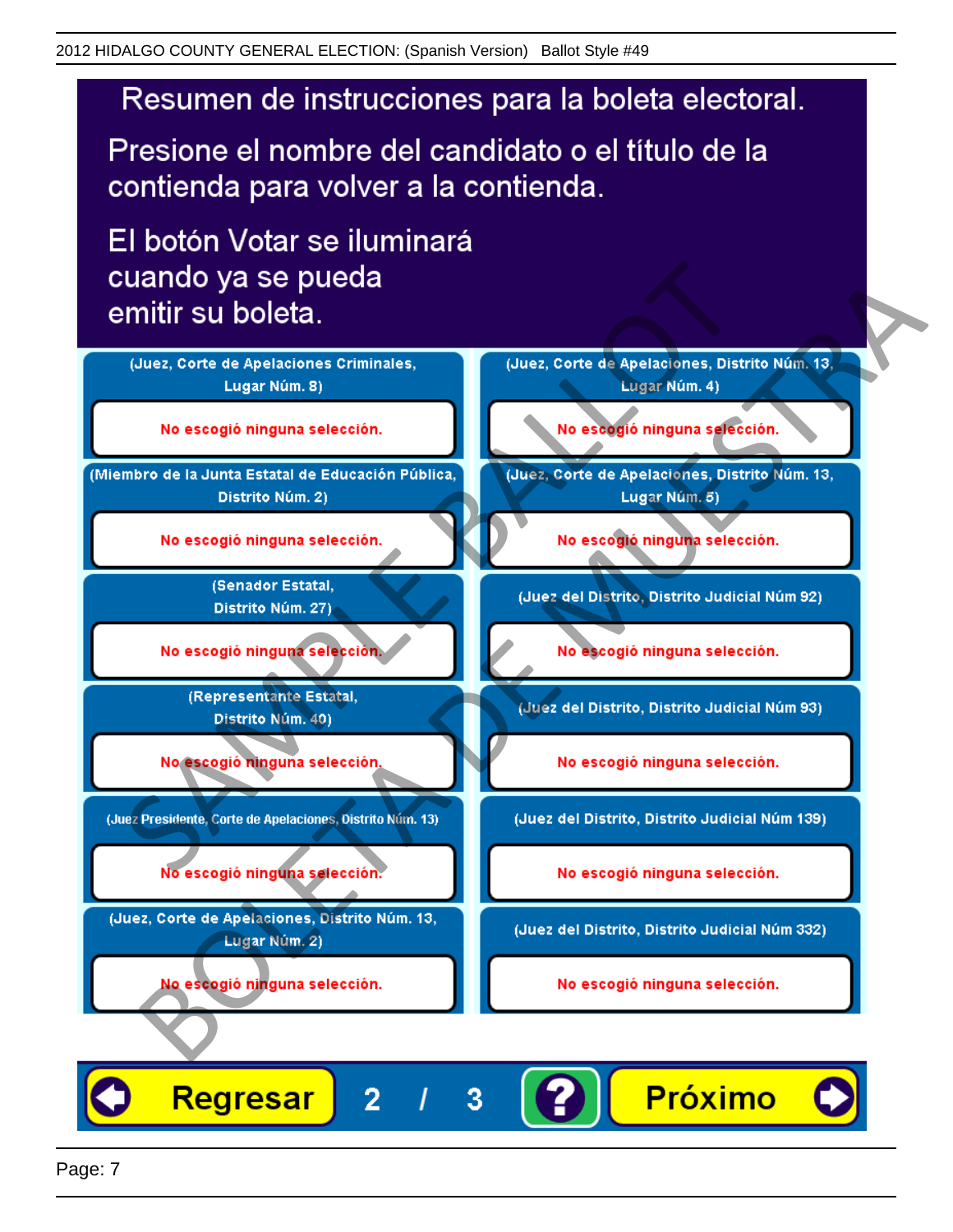# Resumen de instrucciones para la boleta electoral.

Presione el nombre del candidato o el título de la contienda para volver a la contienda.

El botón Votar se iluminará